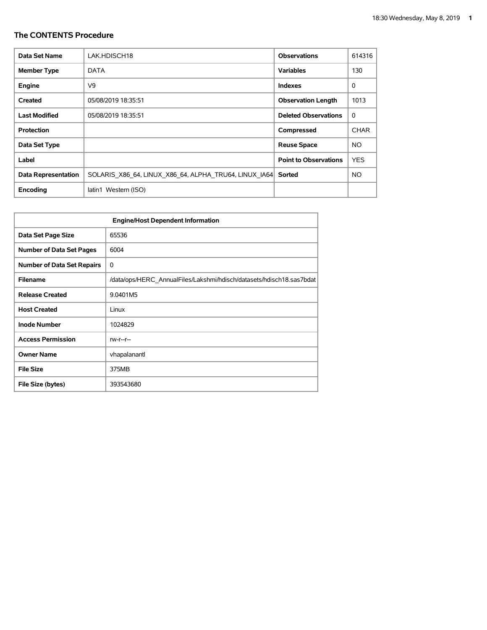| Data Set Name              | LAK.HDISCH18                                          | <b>Observations</b>          | 614316      |
|----------------------------|-------------------------------------------------------|------------------------------|-------------|
| <b>Member Type</b>         | <b>DATA</b>                                           | <b>Variables</b>             | 130         |
| <b>Engine</b>              | V9                                                    | <b>Indexes</b>               | 0           |
| Created                    | 05/08/2019 18:35:51                                   | <b>Observation Length</b>    | 1013        |
| <b>Last Modified</b>       | 05/08/2019 18:35:51                                   | <b>Deleted Observations</b>  | 0           |
| <b>Protection</b>          |                                                       | Compressed                   | <b>CHAR</b> |
| Data Set Type              |                                                       | <b>Reuse Space</b>           | NO.         |
| Label                      |                                                       | <b>Point to Observations</b> | <b>YES</b>  |
| <b>Data Representation</b> | SOLARIS X86 64, LINUX X86 64, ALPHA TRU64, LINUX IA64 | Sorted                       | <b>NO</b>   |
| Encoding                   | latin1 Western (ISO)                                  |                              |             |

| <b>Engine/Host Dependent Information</b> |                                                                      |  |  |  |  |  |
|------------------------------------------|----------------------------------------------------------------------|--|--|--|--|--|
| Data Set Page Size                       | 65536                                                                |  |  |  |  |  |
| <b>Number of Data Set Pages</b>          | 6004                                                                 |  |  |  |  |  |
| <b>Number of Data Set Repairs</b>        | 0                                                                    |  |  |  |  |  |
| <b>Filename</b>                          | /data/ops/HERC AnnualFiles/Lakshmi/hdisch/datasets/hdisch18.sas7bdat |  |  |  |  |  |
| <b>Release Created</b>                   | 9.0401M5                                                             |  |  |  |  |  |
| <b>Host Created</b>                      | Linux                                                                |  |  |  |  |  |
| <b>Inode Number</b>                      | 1024829                                                              |  |  |  |  |  |
| <b>Access Permission</b>                 | $rw-r-r-$                                                            |  |  |  |  |  |
| <b>Owner Name</b>                        | vhapalanantl                                                         |  |  |  |  |  |
| <b>File Size</b>                         | 375MB                                                                |  |  |  |  |  |
| File Size (bytes)                        | 393543680                                                            |  |  |  |  |  |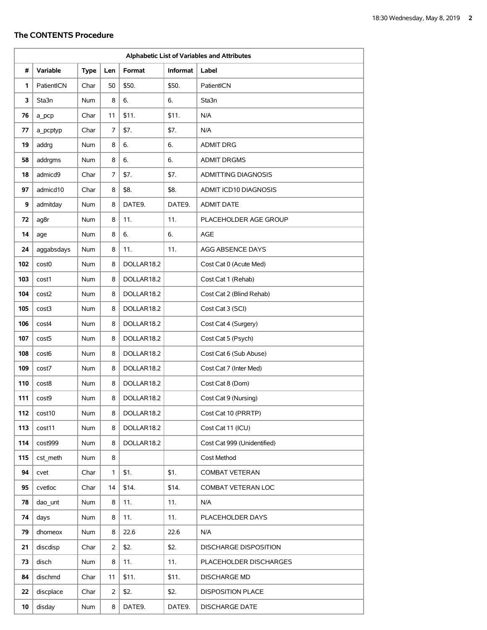| Alphabetic List of Variables and Attributes |                   |             |     |            |                 |                              |
|---------------------------------------------|-------------------|-------------|-----|------------|-----------------|------------------------------|
| #                                           | <b>Variable</b>   | <b>Type</b> | Len | Format     | <b>Informat</b> | Label                        |
| 1                                           | PatientICN        | Char        | 50  | \$50.      | \$50.           | PatientICN                   |
| 3                                           | Sta3n             | Num         | 8   | 6.         | 6.              | Sta3n                        |
| 76                                          | a pcp             | Char        | 11  | \$11.      | \$11.           | N/A                          |
| 77                                          | a pcptyp          | Char        | 7   | \$7.       | \$7.            | N/A                          |
| 19                                          | addrg             | Num         | 8   | 6.         | 6.              | <b>ADMIT DRG</b>             |
| 58                                          | addrgms           | Num         | 8   | 6.         | 6.              | <b>ADMIT DRGMS</b>           |
| 18                                          | admicd9           | Char        | 7   | \$7.       | \$7.            | <b>ADMITTING DIAGNOSIS</b>   |
| 97                                          | admicd10          | Char        | 8   | \$8.       | \$8.            | ADMIT ICD10 DIAGNOSIS        |
| 9                                           | admitday          | Num         | 8   | DATE9.     | DATE9.          | <b>ADMIT DATE</b>            |
| 72                                          | ag8r              | <b>Num</b>  | 8   | 11.        | 11.             | PLACEHOLDER AGE GROUP        |
| 14                                          | age               | Num         | 8   | 6.         | 6.              | <b>AGE</b>                   |
| 24                                          | aggabsdays        | Num         | 8   | 11.        | 11.             | AGG ABSENCE DAYS             |
| 102                                         | cost <sub>0</sub> | Num         | 8   | DOLLAR18.2 |                 | Cost Cat 0 (Acute Med)       |
| 103                                         | cost1             | Num         | 8   | DOLLAR18.2 |                 | Cost Cat 1 (Rehab)           |
| 104                                         | cost2             | Num         | 8   | DOLLAR18.2 |                 | Cost Cat 2 (Blind Rehab)     |
| 105                                         | cost3             | Num         | 8   | DOLLAR18.2 |                 | Cost Cat 3 (SCI)             |
| 106                                         | cost4             | <b>Num</b>  | 8   | DOLLAR18.2 |                 | Cost Cat 4 (Surgery)         |
| 107                                         | cost <sub>5</sub> | Num         | 8   | DOLLAR18.2 |                 | Cost Cat 5 (Psych)           |
| 108                                         | cost <sub>6</sub> | Num         | 8   | DOLLAR18.2 |                 | Cost Cat 6 (Sub Abuse)       |
| 109                                         | cost7             | Num         | 8   | DOLLAR18.2 |                 | Cost Cat 7 (Inter Med)       |
| 110                                         | cost8             | Num         | 8   | DOLLAR18.2 |                 | Cost Cat 8 (Dom)             |
| 111                                         | cost9             | Num         | 8   | DOLLAR18.2 |                 | Cost Cat 9 (Nursing)         |
| 112                                         | cost10            | Num         | 8   | DOLLAR18.2 |                 | Cost Cat 10 (PRRTP)          |
| 113                                         | cost11            | Num         | 8   | DOLLAR18.2 |                 | Cost Cat 11 (ICU)            |
| 114                                         | cost999           | Num         | 8   | DOLLAR18.2 |                 | Cost Cat 999 (Unidentified)  |
| 115                                         | cst_meth          | Num         | 8   |            |                 | Cost Method                  |
| 94                                          | cvet              | Char        | 1   | \$1.       | \$1.            | <b>COMBAT VETERAN</b>        |
| 95                                          | cvetloc           | Char        | 14  | \$14.      | \$14.           | COMBAT VETERAN LOC           |
| 78                                          | dao_unt           | <b>Num</b>  | 8   | 11.        | 11.             | N/A                          |
| 74                                          | days              | Num         | 8   | 11.        | 11.             | PLACEHOLDER DAYS             |
| 79                                          | dhomeox           | Num         | 8   | 22.6       | 22.6            | N/A                          |
| 21                                          | discdisp          | Char        | 2   | \$2.       | \$2.            | <b>DISCHARGE DISPOSITION</b> |
| 73                                          | disch             | Num         | 8   | 11.        | 11.             | PLACEHOLDER DISCHARGES       |
| 84                                          | dischmd           | Char        | 11  | \$11.      | \$11.           | <b>DISCHARGE MD</b>          |
| 22                                          | discplace         | Char        | 2   | \$2.       | \$2.            | <b>DISPOSITION PLACE</b>     |
| 10                                          | disday            | Num         | 8   | DATE9.     | DATE9.          | <b>DISCHARGE DATE</b>        |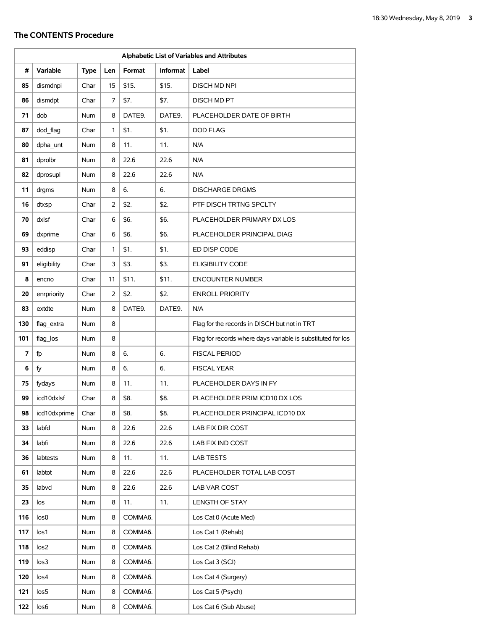| Alphabetic List of Variables and Attributes |                  |             |                |         |                 |                                                             |
|---------------------------------------------|------------------|-------------|----------------|---------|-----------------|-------------------------------------------------------------|
| #                                           | Variable         | <b>Type</b> | Len            | Format  | <b>Informat</b> | Label                                                       |
| 85                                          | dismdnpi         | Char        | 15             | \$15.   | \$15.           | <b>DISCH MD NPI</b>                                         |
| 86                                          | dismdpt          | Char        | 7              | \$7.    | \$7.            | <b>DISCH MD PT</b>                                          |
| 71                                          | dob              | <b>Num</b>  | 8              | DATE9.  | DATE9.          | PLACEHOLDER DATE OF BIRTH                                   |
| 87                                          | dod_flag         | Char        | 1              | \$1.    | \$1.            | <b>DOD FLAG</b>                                             |
| 80                                          | dpha unt         | Num         | 8              | 11.     | 11.             | N/A                                                         |
| 81                                          | dprolbr          | Num         | 8              | 22.6    | 22.6            | N/A                                                         |
| 82                                          | dprosupl         | <b>Num</b>  | 8              | 22.6    | 22.6            | N/A                                                         |
| 11                                          | drgms            | Num         | 8              | 6.      | 6.              | <b>DISCHARGE DRGMS</b>                                      |
| 16                                          | dtxsp            | Char        | $\overline{2}$ | \$2.    | \$2.            | PTF DISCH TRTNG SPCLTY                                      |
| 70                                          | dxlsf            | Char        | 6              | \$6.    | \$6.            | PLACEHOLDER PRIMARY DX LOS                                  |
| 69                                          | dxprime          | Char        | 6              | \$6.    | \$6.            | PLACEHOLDER PRINCIPAL DIAG                                  |
| 93                                          | eddisp           | Char        | 1              | \$1.    | \$1.            | ED DISP CODE                                                |
| 91                                          | eligibility      | Char        | 3              | \$3.    | \$3.            | <b>ELIGIBILITY CODE</b>                                     |
| 8                                           | encno            | Char        | 11             | \$11.   | \$11.           | <b>ENCOUNTER NUMBER</b>                                     |
| 20                                          | enrpriority      | Char        | $\overline{2}$ | \$2.    | \$2.            | <b>ENROLL PRIORITY</b>                                      |
| 83                                          | extdte           | Num         | 8              | DATE9.  | DATE9.          | N/A                                                         |
| 130                                         | flag_extra       | Num         | 8              |         |                 | Flag for the records in DISCH but not in TRT                |
| 101                                         | flag_los         | Num         | 8              |         |                 | Flag for records where days variable is substituted for los |
| 7                                           | fp               | Num         | 8              | 6.      | 6.              | <b>FISCAL PERIOD</b>                                        |
| 6                                           | fy               | Num         | 8              | 6.      | 6.              | <b>FISCAL YEAR</b>                                          |
| 75                                          | fydays           | Num         | 8              | 11.     | 11.             | PLACEHOLDER DAYS IN FY                                      |
| 99                                          | icd10dxlsf       | Char        | 8              | \$8.    | \$8.            | PLACEHOLDER PRIM ICD10 DX LOS                               |
| 98                                          | icd10dxprime     | Char        | 8              | \$8.    | \$8.            | PLACEHOLDER PRINCIPAL ICD10 DX                              |
| 33                                          | labfd            | Num         | 8              | 22.6    | 22.6            | LAB FIX DIR COST                                            |
| 34                                          | labfi            | Num         | 8              | 22.6    | 22.6            | LAB FIX IND COST                                            |
| 36                                          | labtests         | Num         | 8              | 11.     | 11.             | <b>LAB TESTS</b>                                            |
| 61                                          | labtot           | Num         | 8              | 22.6    | 22.6            | PLACEHOLDER TOTAL LAB COST                                  |
| 35                                          | labvd            | Num         | 8              | 22.6    | 22.6            | LAB VAR COST                                                |
| 23                                          | los              | Num         | 8              | 11.     | 11.             | LENGTH OF STAY                                              |
| 116                                         | los <sub>0</sub> | Num         | 8              | COMMA6. |                 | Los Cat 0 (Acute Med)                                       |
| 117                                         | los1             | Num         | 8              | COMMA6. |                 | Los Cat 1 (Rehab)                                           |
| 118                                         | los <sub>2</sub> | Num         | 8              | COMMA6. |                 | Los Cat 2 (Blind Rehab)                                     |
| 119                                         | los <sub>3</sub> | Num         | 8              | COMMA6. |                 | Los Cat 3 (SCI)                                             |
| 120                                         | los4             | Num         | 8              | COMMA6. |                 | Los Cat 4 (Surgery)                                         |
| 121                                         | los5             | Num         | 8              | COMMA6. |                 | Los Cat 5 (Psych)                                           |
| 122                                         | los6             | Num         | 8              | COMMA6. |                 | Los Cat 6 (Sub Abuse)                                       |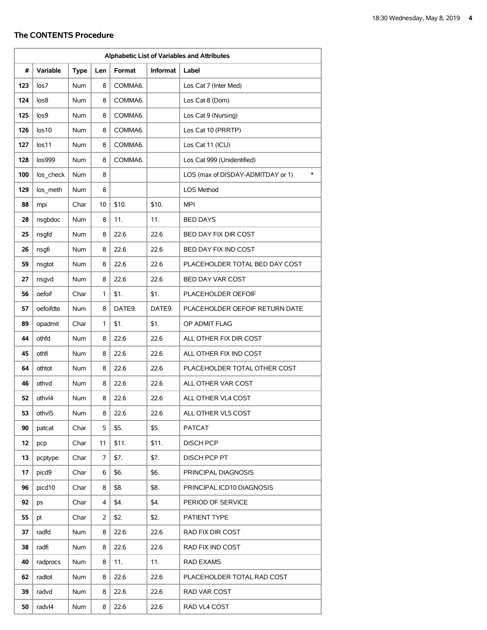| Alphabetic List of Variables and Attributes |                 |             |     |         |                 |                                             |
|---------------------------------------------|-----------------|-------------|-----|---------|-----------------|---------------------------------------------|
| #                                           | <b>Variable</b> | <b>Type</b> | Len | Format  | <b>Informat</b> | Label                                       |
| 123                                         | los7            | Num         | 8   | COMMA6. |                 | Los Cat 7 (Inter Med)                       |
| 124                                         | los8            | <b>Num</b>  | 8   | COMMA6. |                 | Los Cat 8 (Dom)                             |
| 125                                         | los9            | <b>Num</b>  | 8   | COMMA6. |                 | Los Cat 9 (Nursing)                         |
| 126                                         | los10           | <b>Num</b>  | 8   | COMMA6. |                 | Los Cat 10 (PRRTP)                          |
| 127                                         | los11           | <b>Num</b>  | 8   | COMMA6. |                 | Los Cat 11 (ICU)                            |
| 128                                         | los999          | Num         | 8   | COMMA6. |                 | Los Cat 999 (Unidentified)                  |
| 100                                         | los_check       | Num         | 8   |         |                 | $\ast$<br>LOS (max of DISDAY-ADMITDAY or 1) |
| 129                                         | los meth        | Num         | 8   |         |                 | LOS Method                                  |
| 88                                          | mpi             | Char        | 10  | \$10.   | \$10.           | <b>MPI</b>                                  |
| 28                                          | nsgbdoc         | <b>Num</b>  | 8   | 11.     | 11.             | <b>BED DAYS</b>                             |
| 25                                          | nsqfd           | Num         | 8   | 22.6    | 22.6            | BED DAY FIX DIR COST                        |
| 26                                          | nsqfi           | <b>Num</b>  | 8   | 22.6    | 22.6            | BED DAY FIX IND COST                        |
| 59                                          | nsgtot          | Num         | 8   | 22.6    | 22.6            | PLACEHOLDER TOTAL BED DAY COST              |
| 27                                          | nsqvd           | <b>Num</b>  | 8   | 22.6    | 22.6            | BED DAY VAR COST                            |
| 56                                          | oefoif          | Char        | 1   | \$1.    | \$1.            | PLACEHOLDER OEFOIF                          |
| 57                                          | oefoifdte       | <b>Num</b>  | 8   | DATE9.  | DATE9.          | PLACEHOLDER OEFOIF RETURN DATE              |
| 89                                          | opadmit         | Char        | 1   | \$1.    | \$1.            | OP ADMIT FLAG                               |
| 44                                          | othfd           | <b>Num</b>  | 8   | 22.6    | 22.6            | ALL OTHER FIX DIR COST                      |
| 45                                          | othfi           | <b>Num</b>  | 8   | 22.6    | 22.6            | ALL OTHER FIX IND COST                      |
| 64                                          | othtot          | Num         | 8   | 22.6    | 22.6            | PLACEHOLDER TOTAL OTHER COST                |
| 46                                          | othvd           | Num         | 8   | 22.6    | 22.6            | ALL OTHER VAR COST                          |
| 52                                          | othvl4          | Num         | 8   | 22.6    | 22.6            | ALL OTHER VL4 COST                          |
| 53                                          | othvl5          | Num         | 8   | 22.6    | 22.6            | ALL OTHER VL5 COST                          |
| 90                                          | patcat          | Char        | 5   | \$5.    | \$5.            | <b>PATCAT</b>                               |
| 12                                          | pcp             | Char        | 11  | \$11.   | \$11.           | <b>DISCH PCP</b>                            |
| 13                                          | pcptype         | Char        | 7   | \$7.    | \$7.            | DISCH PCP PT                                |
| 17                                          | picd9           | Char        | 6   | \$6.    | \$6.            | PRINCIPAL DIAGNOSIS                         |
| 96                                          | picd10          | Char        | 8   | \$8.    | \$8.            | PRINCIPAL ICD10 DIAGNOSIS                   |
| 92                                          | ps              | Char        | 4   | \$4.    | \$4.            | PERIOD OF SERVICE                           |
| 55                                          | pt              | Char        | 2   | \$2.    | \$2.            | PATIENT TYPE                                |
| 37                                          | radfd           | Num         | 8   | 22.6    | 22.6            | RAD FIX DIR COST                            |
| 38                                          | radfi           | Num         | 8   | 22.6    | 22.6            | RAD FIX IND COST                            |
| 40                                          | radprocs        | Num         | 8   | 11.     | 11.             | <b>RAD EXAMS</b>                            |
| 62                                          | radtot          | Num         | 8   | 22.6    | 22.6            | PLACEHOLDER TOTAL RAD COST                  |
| 39                                          | radvd           | Num         | 8   | 22.6    | 22.6            | RAD VAR COST                                |
| 50                                          | radvl4          | Num         | 8   | 22.6    | 22.6            | RAD VL4 COST                                |